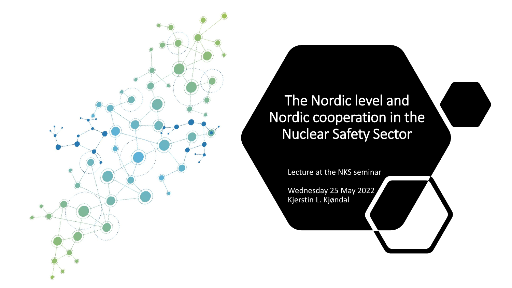

### The Nordic level and Nordic cooperation in the Nuclear Safety Sector

Lecture at the NKS seminar

Wednesday 25 May 2022 Kjerstin L. Kjøndal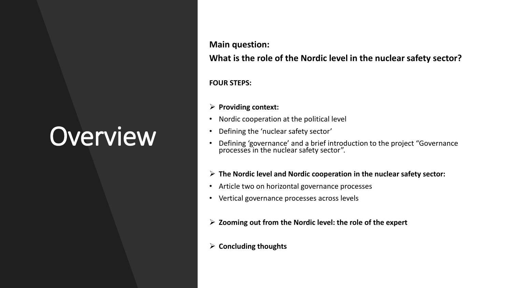# **Overview**

### **Main question:**

**What is the role of the Nordic level in the nuclear safety sector?** 

### **FOUR STEPS:**

### ➢ **Providing context:**

- Nordic cooperation at the political level
- Defining the 'nuclear safety sector'
- Defining 'governance' and a brief introduction to the project "Governance processes in the nuclear safety sector".
- ➢ **The Nordic level and Nordic cooperation in the nuclear safety sector:**
- Article two on horizontal governance processes
- Vertical governance processes across levels
- ➢ **Zooming out from the Nordic level: the role of the expert**
- ➢ **Concluding thoughts**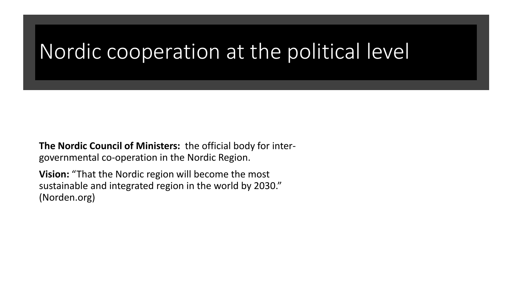## Nordic cooperation at the political level

**The Nordic Council of Ministers:** the official body for intergovernmental co-operation in the Nordic Region.

**Vision:** "That the Nordic region will become the most sustainable and integrated region in the world by 2030." (Norden.org)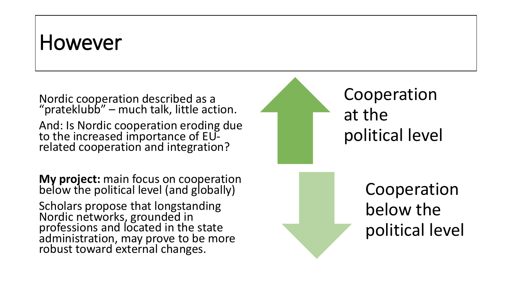## However

Nordic cooperation described as a "prateklubb" – much talk, little action.

And: Is Nordic cooperation eroding due to the increased importance of EUrelated cooperation and integration?

**My project:** main focus on cooperation below the political level (and globally)

Scholars propose that longstanding Nordic networks, grounded in professions and located in the state administration, may prove to be more robust toward external changes.

Cooperation at the political level

> Cooperation below the political level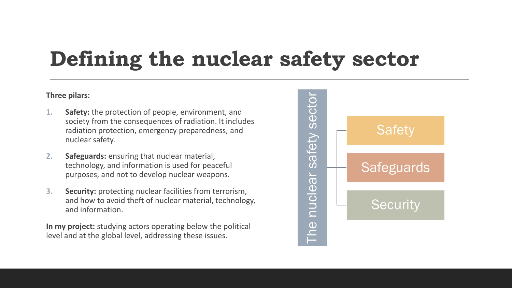## **Defining the nuclear safety sector**

### **Three pilars:**

- **1. Safety:** the protection of people, environment, and society from the consequences of radiation. It includes radiation protection, emergency preparedness, and nuclear safety.
- **2. Safeguards:** ensuring that nuclear material, technology, and information is used for peaceful purposes, and not to develop nuclear weapons.
- **3. Security:** protecting nuclear facilities from terrorism, and how to avoid theft of nuclear material, technology, and information.

**In my project:** studying actors operating below the political level and at the global level, addressing these issues.

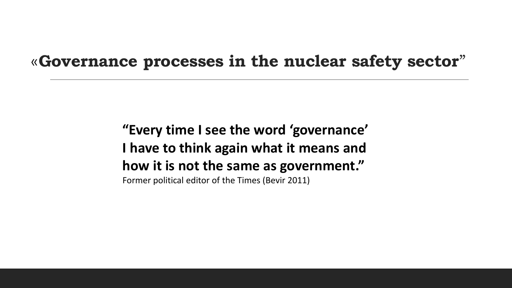### «**Governance processes in the nuclear safety sector**"

**"Every time I see the word 'governance' I have to think again what it means and how it is not the same as government."** Former political editor of the Times (Bevir 2011)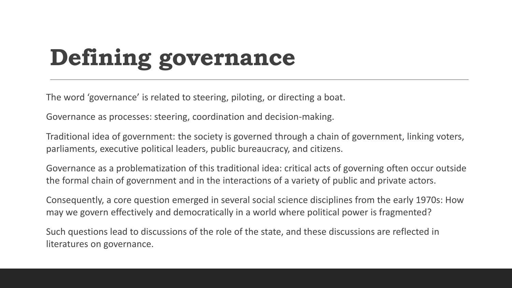# **Defining governance**

The word 'governance' is related to steering, piloting, or directing a boat.

Governance as processes: steering, coordination and decision-making.

Traditional idea of government: the society is governed through a chain of government, linking voters, parliaments, executive political leaders, public bureaucracy, and citizens.

Governance as a problematization of this traditional idea: critical acts of governing often occur outside the formal chain of government and in the interactions of a variety of public and private actors.

Consequently, a core question emerged in several social science disciplines from the early 1970s: How may we govern effectively and democratically in a world where political power is fragmented?

Such questions lead to discussions of the role of the state, and these discussions are reflected in literatures on governance.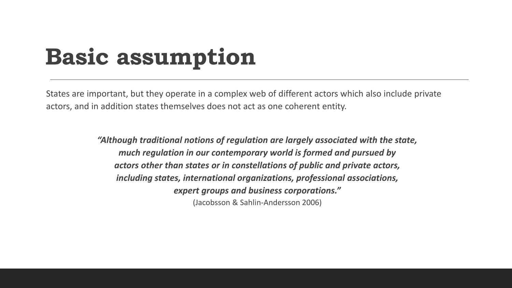## **Basic assumption**

States are important, but they operate in a complex web of different actors which also include private actors, and in addition states themselves does not act as one coherent entity.

> *"Although traditional notions of regulation are largely associated with the state, much regulation in our contemporary world is formed and pursued by actors other than states or in constellations of public and private actors, including states, international organizations, professional associations, expert groups and business corporations."*  (Jacobsson & Sahlin-Andersson 2006)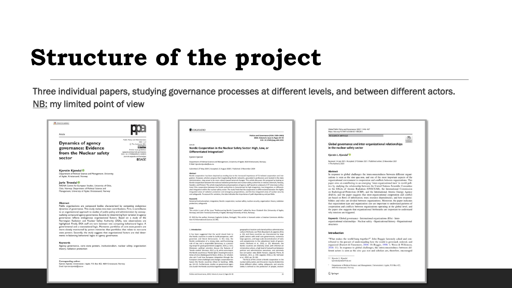# **Structure of the project**

Three individual papers, studying governance processes at different levels, and between different actors. NB: my limited point of view

|                                                                                                                                                                                                                                                                                                                                                                                                                                                                  | Public Policy and Administration                                |  |
|------------------------------------------------------------------------------------------------------------------------------------------------------------------------------------------------------------------------------------------------------------------------------------------------------------------------------------------------------------------------------------------------------------------------------------------------------------------|-----------------------------------------------------------------|--|
| <b>Dynamics of agency</b>                                                                                                                                                                                                                                                                                                                                                                                                                                        | $0(0) 1 - 23$<br>The Author(s) 2021                             |  |
| governance: Evidence                                                                                                                                                                                                                                                                                                                                                                                                                                             | Article reuse guidelines:                                       |  |
| from the Nuclear safety                                                                                                                                                                                                                                                                                                                                                                                                                                          | sarepub.com/journals-permissions                                |  |
|                                                                                                                                                                                                                                                                                                                                                                                                                                                                  | DOI: 10.1177/09520767211019575<br>journals.sagepub.com/home/ppa |  |
| sector                                                                                                                                                                                                                                                                                                                                                                                                                                                           | <b>SSAGE</b>                                                    |  |
| Kjerstin Kjøndal <sup>®</sup>                                                                                                                                                                                                                                                                                                                                                                                                                                    |                                                                 |  |
| Department of Political Science and Management, University                                                                                                                                                                                                                                                                                                                                                                                                       |                                                                 |  |
| of Agder, Kristiansand, Norway                                                                                                                                                                                                                                                                                                                                                                                                                                   |                                                                 |  |
| Jarle Trondal <sup>®</sup>                                                                                                                                                                                                                                                                                                                                                                                                                                       |                                                                 |  |
| ARENA Centre for European Studies, University of Oslo,                                                                                                                                                                                                                                                                                                                                                                                                           |                                                                 |  |
| Oslo, Norway; Department of Political Science and<br>Management, University of Agder, Kristiansand, Norway                                                                                                                                                                                                                                                                                                                                                       |                                                                 |  |
| <b>Abstract</b><br>Public organizations are compound bodies characterized by competing endogenous<br>dynamics of governance. This study makes two main contributions. First, it contributes<br>to an organizational approach to studies of public policy and administration by concep-<br>tualizing compound agency governance. Second, by determining how variation in agency<br>governance reflects endogenous organizational factors. Based on a study of the |                                                                 |  |
| Norwegian Radiation and Nuclear Safety Authority (DSA), two observations are<br>highlighted: Firstly, DSA staff are torn between two competing behavioural logics: A<br>governmental and a transnational logic. Moreover, portfolios of core state powers are                                                                                                                                                                                                    |                                                                 |  |
| more closely monitored by parent ministries than portfolios that relate to non-core                                                                                                                                                                                                                                                                                                                                                                              |                                                                 |  |
| state powers. Secondly, the study suggests that organizational factors are vital deter-<br>ments in balancing behavioral logics in agency governance.                                                                                                                                                                                                                                                                                                            |                                                                 |  |
| <b>Keywords</b>                                                                                                                                                                                                                                                                                                                                                                                                                                                  |                                                                 |  |
| Agency governance, core state powers, institutionalism, nuclear safety, organization                                                                                                                                                                                                                                                                                                                                                                             |                                                                 |  |
| theory, radiation protection                                                                                                                                                                                                                                                                                                                                                                                                                                     |                                                                 |  |
|                                                                                                                                                                                                                                                                                                                                                                                                                                                                  |                                                                 |  |

### COGITATIO

Politics and Governance (ISSN: 2183-2463) 2020, Volume 8, Issue 4, Pages 33-43 DOI: 10.17645/pag.v8i4.3292

### Nordic Cooperation in the Nuclear Safety Sector: High, Low, or **Differentiated Integration?**

### Kierstin Kiøndal

Department of Political Science and Management, University of Agder, 4630 Kristiansand, Norway; E-Mail: kjerstin.kjondal@uia.no

Submitted: 27 May 2020 | Accepted: 21 August 2020 | Published: 3 November 2020

### Abstract

Nordic cooperation has been depicted as eroding due to the increased importance of EU-related cooperation and inte gration. However, scholars propose that longstanding Nordic networks, grounded in professions and located in the state administration, may prove to be more robust toward external changes. This article discusses this proposal by looking at Nordic cooperation between the national radiation protection and nuclear safety authorities in Iceland, Denmark, Norway Sweden, and Finland. The article maps behavioural perceptions of agency staff based on a dataset of 37 interviews to illus trate if the cooperation between the Nordic authorities is characterized by high integration, low integration, or differentiated integration within the nuclear safety sector. The study finds that the cooperation is differentiated between the highly integrated areas of radiation protection and emergency preparedness, and the less integrated areas of nuclear security<br>and safeguards. To account for variation, the data indicates the importance of path dependency and port

### Keywords

historical institutionalism; integration; Nordic cooperation; nuclear safety; nuclear security; organization theory; radiation protection; safeguards

This article is part of the issue "Rediscovering Nordic Cooperation" edited by Anne Elizabeth Stie (University of Agder, Norway) and Jarle Trondal (University of Agder, Norway/University of Oslo, Norway)

© 2020 by the author; licensee Cogitatio (Lisbon, Portugal). This article is licensed under a Creative Commons Attribution 4.0 International License (CC BY)

### 1. Introduction

It has been suggested that the world should look to the Nordic countries in order to build prosperous, wellgoverned, and liberal democracies. In this view, the Nordic combination of a strong state, well-functioning rule of law, and a responsible democracy is a promising recipe for good government (Lægreid, 2020, p. 421). Moreover, political scientists discuss the features of 'Nordic models' (Knutsen, 2017, p. 9), while some depict the Nordic countries as 'Nordic lights' showing the way in times of crisis (Nedergaard & Wivel, 2018, p. 2). Scholars also ask if and how European integration through the European Union challenges and changes cooperation be ween the Nordic countries (Olsen & Sverdrup, 1998, pp. 10-12). Furthermore, studies on government agen ties cluster the Nordic countries together based on their

geographical location and shared politico-administrative ulture (Verhoest, van Thiel, Bouckaert, & Lægreid, 2012. p. 10), and these countries are characterized by large public sectors with small core governments, numerous large agencies, and large-scale decentralization of tasks and competencies to the subnational levels of govern ments (Verhoest et al., 2012, p. 15). Moreover, the Nordic countries are relatively small, with informal administrative culture, a high level of mutual trust between political and administrative executives, and extremely<br>low corruption rates (Balle Hansen, Lægreid, Pierre, & Salminen, 2012, p. 259; Lægreid, 2018, p. 83; Verhoest et al., 2012, pp. 15-16). The focus of this article is Nordic cooperation in the

nuclear safety sector, and this sector may be divided into three different pillars: safety, safeguards, and security. Safety is defined as the protection of people, environ

Politics and Governance, 2020, Volume 8, Issue 4, Pages 33-43



Springer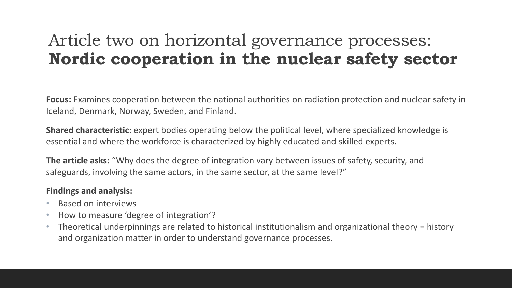### Article two on horizontal governance processes: **Nordic cooperation in the nuclear safety sector**

**Focus:** Examines cooperation between the national authorities on radiation protection and nuclear safety in Iceland, Denmark, Norway, Sweden, and Finland.

**Shared characteristic:** expert bodies operating below the political level, where specialized knowledge is essential and where the workforce is characterized by highly educated and skilled experts.

**The article asks:** "Why does the degree of integration vary between issues of safety, security, and safeguards, involving the same actors, in the same sector, at the same level?"

### **Findings and analysis:**

- Based on interviews
- How to measure 'degree of integration'?
- Theoretical underpinnings are related to historical institutionalism and organizational theory = history and organization matter in order to understand governance processes.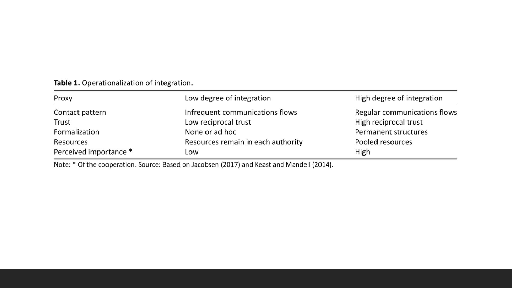| Table 1. Operationalization of integration. |  |  |  |  |
|---------------------------------------------|--|--|--|--|
|---------------------------------------------|--|--|--|--|

| Proxy                  | Low degree of integration          | High degree of integration   |
|------------------------|------------------------------------|------------------------------|
| Contact pattern        | Infrequent communications flows    | Regular communications flows |
| Trust                  | Low reciprocal trust               | High reciprocal trust        |
| Formalization          | None or ad hoc                     | Permanent structures         |
| Resources              | Resources remain in each authority | Pooled resources             |
| Perceived importance * | LOW                                | High                         |

Note: \* Of the cooperation. Source: Based on Jacobsen (2017) and Keast and Mandell (2014).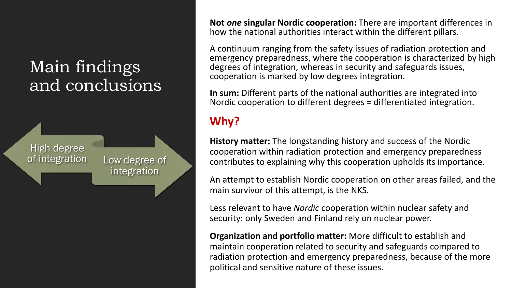## Main findings and conclusions



**Not** *one* **singular Nordic cooperation:** There are important differences in how the national authorities interact within the different pillars.

A continuum ranging from the safety issues of radiation protection and emergency preparedness, where the cooperation is characterized by high degrees of integration, whereas in security and safeguards issues, cooperation is marked by low degrees integration.

**In sum:** Different parts of the national authorities are integrated into Nordic cooperation to different degrees = differentiated integration.

### **Why?**

**History matter:** The longstanding history and success of the Nordic cooperation within radiation protection and emergency preparedness contributes to explaining why this cooperation upholds its importance.

An attempt to establish Nordic cooperation on other areas failed, and the main survivor of this attempt, is the NKS.

Less relevant to have *Nordic* cooperation within nuclear safety and security: only Sweden and Finland rely on nuclear power.

**Organization and portfolio matter:** More difficult to establish and maintain cooperation related to security and safeguards compared to radiation protection and emergency preparedness, because of the more political and sensitive nature of these issues.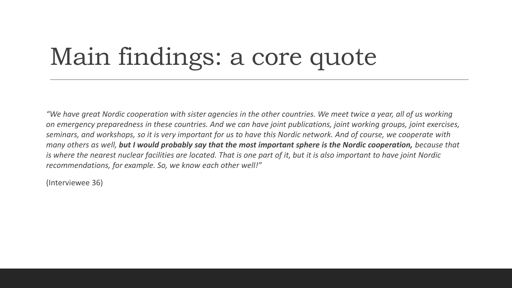# Main findings: a core quote

*"We have great Nordic cooperation with sister agencies in the other countries. We meet twice a year, all of us working on emergency preparedness in these countries. And we can have joint publications, joint working groups, joint exercises, seminars, and workshops, so it is very important for us to have this Nordic network. And of course, we cooperate with many others as well, but I would probably say that the most important sphere is the Nordic cooperation, because that is where the nearest nuclear facilities are located. That is one part of it, but it is also important to have joint Nordic recommendations, for example. So, we know each other well!"* 

(Interviewee 36)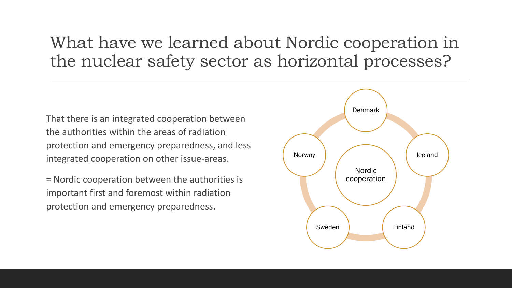### What have we learned about Nordic cooperation in the nuclear safety sector as horizontal processes?

That there is an integrated cooperation between the authorities within the areas of radiation protection and emergency preparedness, and less integrated cooperation on other issue-areas.

= Nordic cooperation between the authorities is important first and foremost within radiation protection and emergency preparedness.

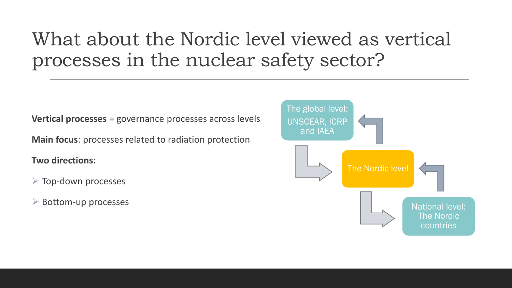## What about the Nordic level viewed as vertical processes in the nuclear safety sector?

**Vertical processes** = governance processes across levels

**Main focus**: processes related to radiation protection

**Two directions:** 

➢ Top-down processes

 $\triangleright$  Bottom-up processes

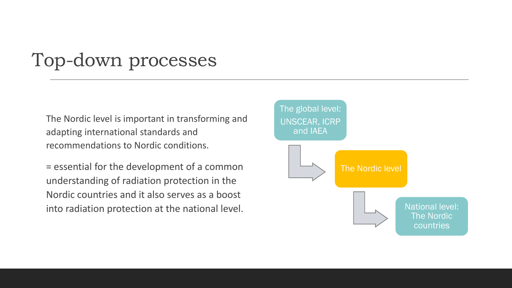## Top-down processes

The Nordic level is important in transforming and adapting international standards and recommendations to Nordic conditions.

= essential for the development of a common understanding of radiation protection in the Nordic countries and it also serves as a boost into radiation protection at the national level.

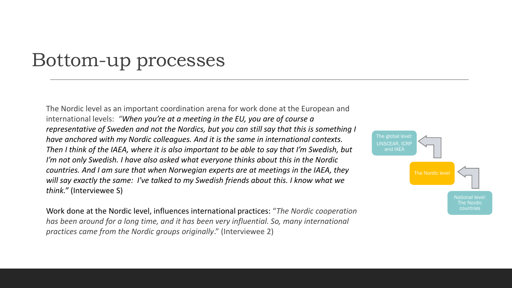## Bottom-up processes

The Nordic level as an important coordination arena for work done at the European and international levels: *"When you're at a meeting in the EU, you are of course a representative of Sweden and not the Nordics, but you can still say that this is something I have anchored with my Nordic colleagues. And it is the same in international contexts. Then I think of the IAEA, where it is also important to be able to say that I'm Swedish, but I'm not only Swedish. I have also asked what everyone thinks about this in the Nordic countries. And I am sure that when Norwegian experts are at meetings in the IAEA, they will say exactly the same: I've talked to my Swedish friends about this. I know what we think."* (Interviewee S)

Work done at the Nordic level, influences international practices: "*The Nordic cooperation has been around for a long time, and it has been very influential. So, many international practices came from the Nordic groups originally*." (Interviewee 2)

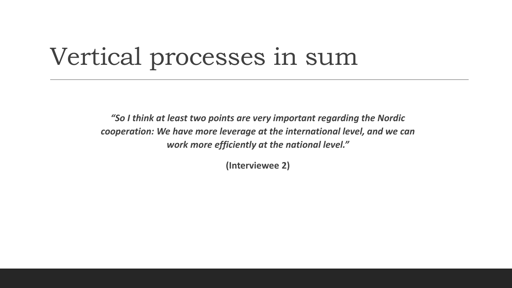## Vertical processes in sum

*"So I think at least two points are very important regarding the Nordic cooperation: We have more leverage at the international level, and we can work more efficiently at the national level."* 

**(Interviewee 2)**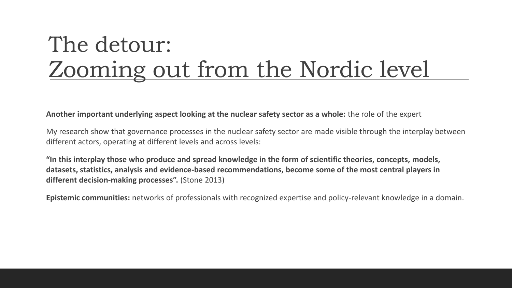## The detour: Zooming out from the Nordic level

### **Another important underlying aspect looking at the nuclear safety sector as a whole:** the role of the expert

My research show that governance processes in the nuclear safety sector are made visible through the interplay between different actors, operating at different levels and across levels:

**"In this interplay those who produce and spread knowledge in the form of scientific theories, concepts, models, datasets, statistics, analysis and evidence-based recommendations, become some of the most central players in different decision-making processes".** (Stone 2013)

**Epistemic communities:** networks of professionals with recognized expertise and policy-relevant knowledge in a domain.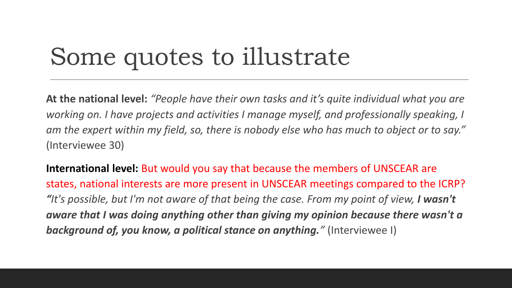# Some quotes to illustrate

**At the national level:** *"People have their own tasks and it's quite individual what you are working on. I have projects and activities I manage myself, and professionally speaking, I am the expert within my field, so, there is nobody else who has much to object or to say."*  (Interviewee 30)

**International level:** But would you say that because the members of UNSCEAR are states, national interests are more present in UNSCEAR meetings compared to the ICRP? "It's possible, but I'm not aware of that being the case. From my point of view, **I wasn't** *aware that I was doing anything other than giving my opinion because there wasn't a background of, you know, a political stance on anything."* (Interviewee I)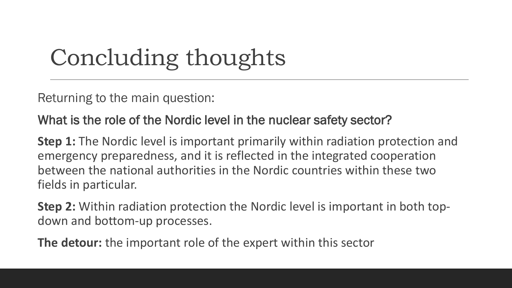# Concluding thoughts

Returning to the main question:

What is the role of the Nordic level in the nuclear safety sector?

**Step 1:** The Nordic level is important primarily within radiation protection and emergency preparedness, and it is reflected in the integrated cooperation between the national authorities in the Nordic countries within these two fields in particular.

**Step 2:** Within radiation protection the Nordic level is important in both topdown and bottom-up processes.

**The detour:** the important role of the expert within this sector